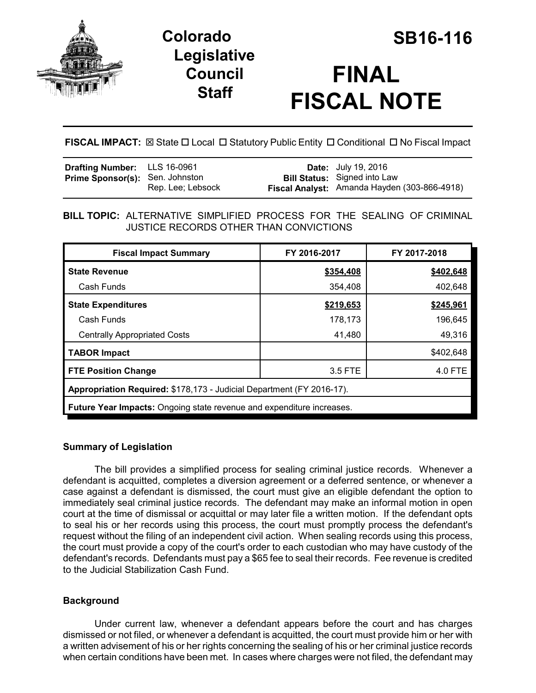

# **Colorado SB16-116 Legislative Council Staff**

# **FINAL FISCAL NOTE**

**FISCAL IMPACT:** ⊠ State □ Local □ Statutory Public Entity □ Conditional □ No Fiscal Impact

| <b>Drafting Number:</b> LLS 16-0961    |                   | <b>Date:</b> July 19, 2016                                                          |
|----------------------------------------|-------------------|-------------------------------------------------------------------------------------|
| <b>Prime Sponsor(s):</b> Sen. Johnston | Rep. Lee; Lebsock | <b>Bill Status:</b> Signed into Law<br>Fiscal Analyst: Amanda Hayden (303-866-4918) |
|                                        |                   |                                                                                     |

**BILL TOPIC:** ALTERNATIVE SIMPLIFIED PROCESS FOR THE SEALING OF CRIMINAL JUSTICE RECORDS OTHER THAN CONVICTIONS

| <b>Fiscal Impact Summary</b>                                                 | FY 2016-2017 | FY 2017-2018 |  |  |
|------------------------------------------------------------------------------|--------------|--------------|--|--|
| <b>State Revenue</b>                                                         | \$354,408    | \$402,648    |  |  |
| Cash Funds                                                                   | 354,408      | 402,648      |  |  |
| <b>State Expenditures</b>                                                    | \$219,653    | \$245,961    |  |  |
| Cash Funds                                                                   | 178,173      | 196,645      |  |  |
| <b>Centrally Appropriated Costs</b>                                          | 41,480       | 49,316       |  |  |
| <b>TABOR Impact</b>                                                          |              | \$402,648    |  |  |
| <b>FTE Position Change</b>                                                   | 3.5 FTE      | 4.0 FTE      |  |  |
| Appropriation Required: \$178,173 - Judicial Department (FY 2016-17).        |              |              |  |  |
| <b>Future Year Impacts:</b> Ongoing state revenue and expenditure increases. |              |              |  |  |

# **Summary of Legislation**

The bill provides a simplified process for sealing criminal justice records. Whenever a defendant is acquitted, completes a diversion agreement or a deferred sentence, or whenever a case against a defendant is dismissed, the court must give an eligible defendant the option to immediately seal criminal justice records. The defendant may make an informal motion in open court at the time of dismissal or acquittal or may later file a written motion. If the defendant opts to seal his or her records using this process, the court must promptly process the defendant's request without the filing of an independent civil action. When sealing records using this process, the court must provide a copy of the court's order to each custodian who may have custody of the defendant's records. Defendants must pay a \$65 fee to seal their records. Fee revenue is credited to the Judicial Stabilization Cash Fund.

# **Background**

Under current law, whenever a defendant appears before the court and has charges dismissed or not filed, or whenever a defendant is acquitted, the court must provide him or her with a written advisement of his or her rights concerning the sealing of his or her criminal justice records when certain conditions have been met. In cases where charges were not filed, the defendant may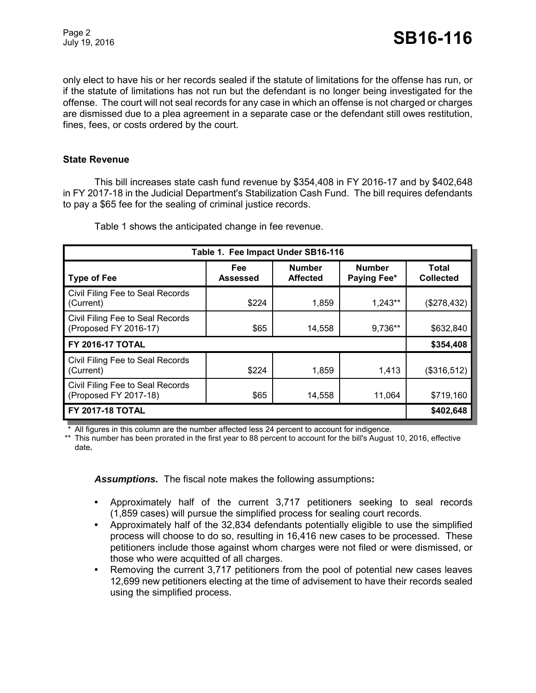only elect to have his or her records sealed if the statute of limitations for the offense has run, or if the statute of limitations has not run but the defendant is no longer being investigated for the offense. The court will not seal records for any case in which an offense is not charged or charges are dismissed due to a plea agreement in a separate case or the defendant still owes restitution, fines, fees, or costs ordered by the court.

#### **State Revenue**

This bill increases state cash fund revenue by \$354,408 in FY 2016-17 and by \$402,648 in FY 2017-18 in the Judicial Department's Stabilization Cash Fund. The bill requires defendants to pay a \$65 fee for the sealing of criminal justice records.

| Table 1. Fee Impact Under SB16-116                        |                 |                                  |                              |                           |  |
|-----------------------------------------------------------|-----------------|----------------------------------|------------------------------|---------------------------|--|
| <b>Type of Fee</b>                                        | Fee<br>Assessed | <b>Number</b><br><b>Affected</b> | <b>Number</b><br>Paying Fee* | Total<br><b>Collected</b> |  |
| Civil Filing Fee to Seal Records<br>(Current)             | \$224           | 1,859                            | $1,243**$                    | (\$278,432)               |  |
| Civil Filing Fee to Seal Records<br>(Proposed FY 2016-17) | \$65            | 14,558                           | 9,736**                      | \$632,840                 |  |
| <b>FY 2016-17 TOTAL</b>                                   |                 |                                  |                              | \$354,408                 |  |
| Civil Filing Fee to Seal Records<br>(Current)             | \$224           | 1,859                            | 1,413                        | (\$316,512)               |  |
| Civil Filing Fee to Seal Records<br>(Proposed FY 2017-18) | \$65            | 14,558                           | 11,064                       | \$719,160                 |  |
| <b>FY 2017-18 TOTAL</b>                                   |                 |                                  |                              | \$402,648                 |  |

Table 1 shows the anticipated change in fee revenue.

All figures in this column are the number affected less 24 percent to account for indigence.

\*\* This number has been prorated in the first year to 88 percent to account for the bill's August 10, 2016, effective date**.**

*Assumptions.*The fiscal note makes the following assumptions**:**

- **•** Approximately half of the current 3,717 petitioners seeking to seal records (1,859 cases) will pursue the simplified process for sealing court records.
- **•** Approximately half of the 32,834 defendants potentially eligible to use the simplified process will choose to do so, resulting in 16,416 new cases to be processed. These petitioners include those against whom charges were not filed or were dismissed, or those who were acquitted of all charges.
- **•** Removing the current 3,717 petitioners from the pool of potential new cases leaves 12,699 new petitioners electing at the time of advisement to have their records sealed using the simplified process.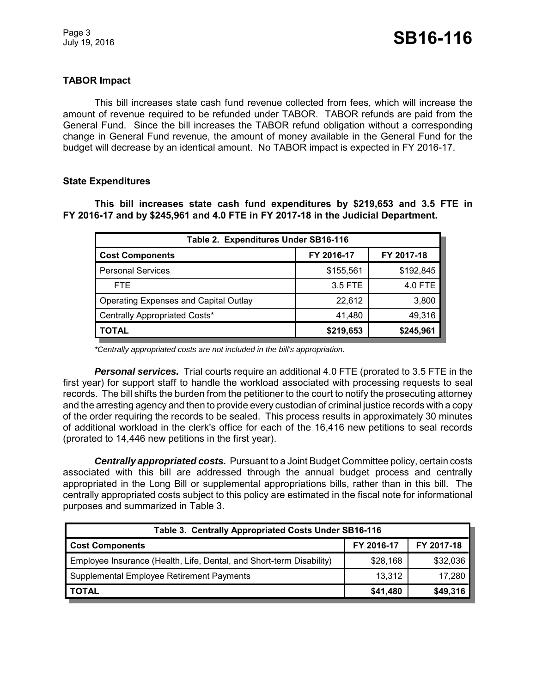## **TABOR Impact**

This bill increases state cash fund revenue collected from fees, which will increase the amount of revenue required to be refunded under TABOR. TABOR refunds are paid from the General Fund. Since the bill increases the TABOR refund obligation without a corresponding change in General Fund revenue, the amount of money available in the General Fund for the budget will decrease by an identical amount. No TABOR impact is expected in FY 2016-17.

#### **State Expenditures**

**This bill increases state cash fund expenditures by \$219,653 and 3.5 FTE in FY 2016-17 and by \$245,961 and 4.0 FTE in FY 2017-18 in the Judicial Department.**

| Table 2. Expenditures Under SB16-116         |            |            |  |  |  |
|----------------------------------------------|------------|------------|--|--|--|
| <b>Cost Components</b>                       | FY 2016-17 | FY 2017-18 |  |  |  |
| <b>Personal Services</b>                     | \$155,561  | \$192,845  |  |  |  |
| FTE.                                         | 3.5 FTE    | 4.0 FTE    |  |  |  |
| <b>Operating Expenses and Capital Outlay</b> | 22,612     | 3,800      |  |  |  |
| Centrally Appropriated Costs*                | 41,480     | 49,316     |  |  |  |
| <b>TOTAL</b>                                 | \$219,653  | \$245,961  |  |  |  |

*\*Centrally appropriated costs are not included in the bill's appropriation.*

*Personal services.* Trial courts require an additional 4.0 FTE (prorated to 3.5 FTE in the first year) for support staff to handle the workload associated with processing requests to seal records. The bill shifts the burden from the petitioner to the court to notify the prosecuting attorney and the arresting agency and then to provide every custodian of criminal justice records with a copy of the order requiring the records to be sealed. This process results in approximately 30 minutes of additional workload in the clerk's office for each of the 16,416 new petitions to seal records (prorated to 14,446 new petitions in the first year).

*Centrally appropriated costs.* Pursuant to a Joint Budget Committee policy, certain costs associated with this bill are addressed through the annual budget process and centrally appropriated in the Long Bill or supplemental appropriations bills, rather than in this bill. The centrally appropriated costs subject to this policy are estimated in the fiscal note for informational purposes and summarized in Table 3.

| Table 3. Centrally Appropriated Costs Under SB16-116                 |            |            |  |  |
|----------------------------------------------------------------------|------------|------------|--|--|
| <b>Cost Components</b>                                               | FY 2016-17 | FY 2017-18 |  |  |
| Employee Insurance (Health, Life, Dental, and Short-term Disability) | \$28,168   | \$32,036   |  |  |
| Supplemental Employee Retirement Payments                            | 13,312     | 17,280     |  |  |
| <b>TOTAL</b>                                                         | \$41,480   | \$49,316   |  |  |